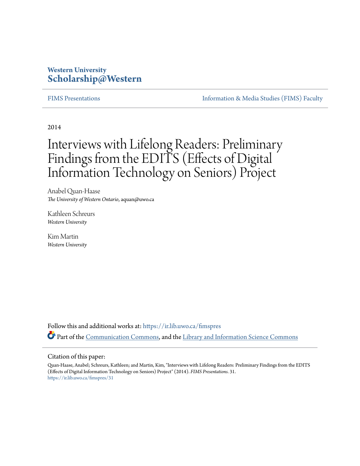## **Western University [Scholarship@Western](https://ir.lib.uwo.ca?utm_source=ir.lib.uwo.ca%2Ffimspres%2F31&utm_medium=PDF&utm_campaign=PDFCoverPages)**

[FIMS Presentations](https://ir.lib.uwo.ca/fimspres?utm_source=ir.lib.uwo.ca%2Ffimspres%2F31&utm_medium=PDF&utm_campaign=PDFCoverPages) **Information & Media Studies (FIMS)** Faculty

2014

# Interviews with Lifelong Readers: Preliminary Findings from the EDITS (Effects of Digital Information Technology on Seniors) Project

Anabel Quan-Haase *The University of Western Ontario*, aquan@uwo.ca

Kathleen Schreurs *Western University*

Kim Martin *Western University*

Follow this and additional works at: [https://ir.lib.uwo.ca/fimspres](https://ir.lib.uwo.ca/fimspres?utm_source=ir.lib.uwo.ca%2Ffimspres%2F31&utm_medium=PDF&utm_campaign=PDFCoverPages) Part of the [Communication Commons](http://network.bepress.com/hgg/discipline/325?utm_source=ir.lib.uwo.ca%2Ffimspres%2F31&utm_medium=PDF&utm_campaign=PDFCoverPages), and the [Library and Information Science Commons](http://network.bepress.com/hgg/discipline/1018?utm_source=ir.lib.uwo.ca%2Ffimspres%2F31&utm_medium=PDF&utm_campaign=PDFCoverPages)

#### Citation of this paper:

Quan-Haase, Anabel; Schreurs, Kathleen; and Martin, Kim, "Interviews with Lifelong Readers: Preliminary Findings from the EDITS (Effects of Digital Information Technology on Seniors) Project" (2014). *FIMS Presentations*. 31. [https://ir.lib.uwo.ca/fimspres/31](https://ir.lib.uwo.ca/fimspres/31?utm_source=ir.lib.uwo.ca%2Ffimspres%2F31&utm_medium=PDF&utm_campaign=PDFCoverPages)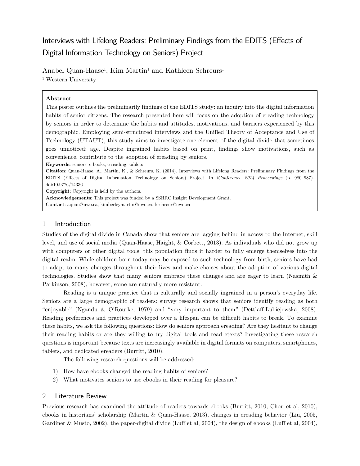# Interviews with Lifelong Readers: Preliminary Findings from the EDITS (Effects of Digital Information Technology on Seniors) Project

Anabel Quan-Haase<sup>1</sup>, Kim Martin<sup>1</sup> and Kathleen Schreurs<sup>1</sup> <sup>1</sup> Western University

#### **Abstract**

This poster outlines the preliminarily findings of the EDITS study: an inquiry into the digital information habits of senior citizens. The research presented here will focus on the adoption of ereading technology by seniors in order to determine the habits and attitudes, motivations, and barriers experienced by this demographic. Employing semi-structured interviews and the Unified Theory of Acceptance and Use of Technology (UTAUT), this study aims to investigate one element of the digital divide that sometimes goes unnoticed: age. Despite ingrained habits based on print, findings show motivations, such as convenience, contribute to the adoption of ereading by seniors.

**Keywords:** seniors, e-books, e-reading, tablets

**Citation**: Quan-Haase, A., Martin, K., & Schreurs, K. (2014). Interviews with Lifelong Readers: Preliminary Findings from the EDITS (Effects of Digital Information Technology on Seniors) Project. In *iConference 2014 Proceedings* (p. 980–987). doi:10.9776/14336

**Copyright**: Copyright is held by the authors.

**Acknowledgements**: This project was funded by a SSHRC Insight Development Grant.

**Contact**[: aquan@uwo.ca,](mailto:aquan@uwo.ca) [kimberleymartin@uwo.ca,](mailto:kimberleymartin@uwo.ca) [kschreur@uwo.ca](mailto:kschreur@uwo.ca)

#### 1 Introduction

Studies of the digital divide in Canada show that seniors are lagging behind in access to the Internet, skill level, and use of social media (Quan-Haase, Haight, & Corbett, 2013). As individuals who did not grow up with computers or other digital tools, this population finds it harder to fully emerge themselves into the digital realm. While children born today may be exposed to such technology from birth, seniors have had to adapt to many changes throughout their lives and make choices about the adoption of various digital technologies. Studies show that many seniors embrace these changes and are eager to learn (Nasmith & Parkinson, 2008), however, some are naturally more resistant.

Reading is a unique practice that is culturally and socially ingrained in a person's everyday life. Seniors are a large demographic of readers: survey research shows that seniors identify reading as both "enjoyable" (Ngandu & O'Rourke, 1979) and "very important to them" (Dettlaff-Lubiejewska, 2008). Reading preferences and practices developed over a lifespan can be difficult habits to break. To examine these habits, we ask the following questions: How do seniors approach ereading? Are they hesitant to change their reading habits or are they willing to try digital tools and read etexts? Investigating these research questions is important because texts are increasingly available in digital formats on computers, smartphones, tablets, and dedicated ereaders (Burritt, 2010).

The following research questions will be addressed:

- 1) How have ebooks changed the reading habits of seniors?
- 2) What motivates seniors to use ebooks in their reading for pleasure?

#### 2 Literature Review

Previous research has examined the attitude of readers towards ebooks (Burritt, 2010; Chou et al, 2010), ebooks in historians' scholarship (Martin & Quan-Haase, 2013), changes in ereading behavior (Liu, 2005, Gardiner & Musto, 2002), the paper-digital divide (Luff et al, 2004), the design of ebooks (Luff et al, 2004),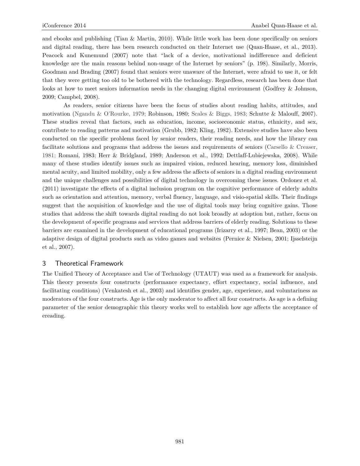and ebooks and publishing (Tian & Martin, 2010). While little work has been done specifically on seniors and digital reading, there has been research conducted on their Internet use (Quan-Haase, et al., 2013). Peacock and Kunemund (2007) note that "lack of a device, motivational indifference and deficient knowledge are the main reasons behind non-usage of the Internet by seniors" (p. 198). Similarly, Morris, Goodman and Brading (2007) found that seniors were unaware of the Internet, were afraid to use it, or felt that they were getting too old to be bothered with the technology. Regardless, research has been done that looks at how to meet seniors information needs in the changing digital environment (Godfrey & Johnson, 2009; Campbel, 2008).

As readers, senior citizens have been the focus of studies about reading habits, attitudes, and motivation (Ngandu & O'Rourke, 1979; Robinson, 1980; Scales & Biggs, 1983; Schutte & Malouff, 2007). These studies reveal that factors, such as education, income, socioeconomic status, ethnicity, and sex, contribute to reading patterns and motivation (Grubb, 1982; Kling, 1982). Extensive studies have also been conducted on the specific problems faced by senior readers, their reading needs, and how the library can facilitate solutions and programs that address the issues and requirements of seniors (Carsello & Creaser, 1981; Romani, 1983; Herr & Bridgland, 1989; Anderson et al., 1992; Dettlaff-Lubiejewska, 2008). While many of these studies identify issues such as impaired vision, reduced hearing, memory loss, diminished mental acuity, and limited mobility, only a few address the affects of seniors in a digital reading environment and the unique challenges and possibilities of digital technology in overcoming these issues. Ordonez et al. (2011) investigate the effects of a digital inclusion program on the cognitive performance of elderly adults such as orientation and attention, memory, verbal fluency, language, and visio-spatial skills. Their findings suggest that the acquisition of knowledge and the use of digital tools may bring cognitive gains. Those studies that address the shift towards digital reading do not look broadly at adoption but, rather, focus on the development of specific programs and services that address barriers of elderly reading. Solutions to these barriers are examined in the development of educational programs (Irizarry et al., 1997; Bean, 2003) or the adaptive design of digital products such as video games and websites (Pernice & Nielsen, 2001; Ijsselsteijn et al., 2007).

#### 3 Theoretical Framework

The Unified Theory of Acceptance and Use of Technology (UTAUT) was used as a framework for analysis. This theory presents four constructs (performance expectancy, effort expectancy, social influence, and facilitating conditions) (Venkatesh et al., 2003) and identifies gender, age, experience, and voluntariness as moderators of the four constructs. Age is the only moderator to affect all four constructs. As age is a defining parameter of the senior demographic this theory works well to establish how age affects the acceptance of ereading.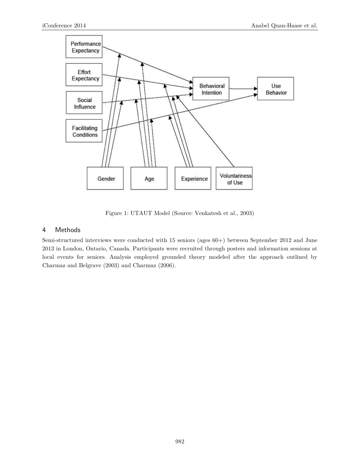

Figure 1: UTAUT Model (Source: Venkatesh et al., 2003)

#### <span id="page-3-0"></span>4 Methods

Semi-structured interviews were conducted with 15 seniors (ages 60+) between September 2012 and June 2013 in London, Ontario, Canada. Participants were recruited through posters and information sessions at local events for seniors. Analysis employed grounded theory modeled after the approach outlined by Charmaz and Belgrave (2003) and Charmaz (2006).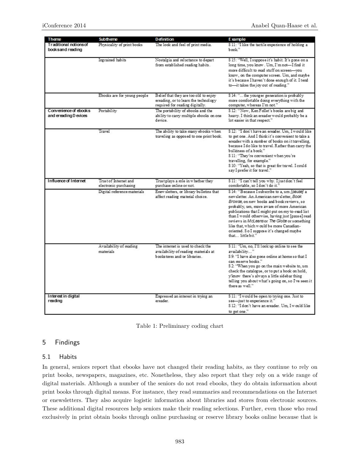| Theme                                             | Subtheme                                       | <b>Definition</b>                                                                                                | E xample                                                                                                                                                                                                                                                                                                                                                                                                                                                 |
|---------------------------------------------------|------------------------------------------------|------------------------------------------------------------------------------------------------------------------|----------------------------------------------------------------------------------------------------------------------------------------------------------------------------------------------------------------------------------------------------------------------------------------------------------------------------------------------------------------------------------------------------------------------------------------------------------|
| <b>Traditional notions of</b><br>booksand reading | Physicality of print books                     | The look and feel of print media.                                                                                | S 11: "I like the tactile experience of holding a<br>book"                                                                                                                                                                                                                                                                                                                                                                                               |
|                                                   | Ingrained habits                               | Nostalgia and reluctance to depart<br>from established reading habits.                                           | S 15: "Well, I suppose it's habit. It's gone on a<br>long time, you know . Um, I'm not-I find it<br>more difficult to read stuff on screen-you<br>know, on the computer screen. Um, and maybe<br>it's because I haven't done enough of it. I tend<br>to-it takes the joy out of reading."                                                                                                                                                                |
|                                                   | Ebooks are for young people                    | Belief that they are too old to enjoy<br>ereading, or to learn the technology<br>required for reading digitally. | S 14: " the younger generation is probably<br>more comfortable doing everything with the<br>computer, whereas I'm not."                                                                                                                                                                                                                                                                                                                                  |
| Convenience of ebooks<br>and ereading D evices    | Portability                                    | The portability of ebooks and the<br>ability to carry multiple ebooks on one<br>device.                          | S 12: "Now, Ken Follet's books are big and<br>heavy. I think an ereader would probably be a<br>lot easier in that respect."                                                                                                                                                                                                                                                                                                                              |
|                                                   | Travel                                         | The ability to take many ebooks when<br>traveling as opposed to one print book.                                  | S 12: "I don't have an ereader. Um, I would like<br>to get one. And I think it's convenient to take a<br>ereader with a mumber of books on it travelling.<br>because I do like to travel. Rather than carry the<br>bulkiness of a book."<br>S 11: "They're convenient when you're<br>travelling, for example."<br>S 10: "Yeah, so that is great for travel. I could<br>say I prefer it for travel."                                                      |
| Influence of Internet                             | Trust of Internet and<br>electronic purchasing | Trust plays a role in whether they<br>purchase online or not.                                                    | S 11: "I can't tell you why. I just don't feel<br>comfortable, so I don't do it."                                                                                                                                                                                                                                                                                                                                                                        |
|                                                   | Digital reference materials                    | Enew sletters, or library bulletins that<br>affect reading material choice.                                      | S 14: "Because I subscribe to a, um [pause] a<br>newsletter. An American newsletter, Book<br>Browse, on new books and book reviews, so<br>probably, um, more aware of more American<br>publications that I might put on my to-read list<br>than I would otherwise, having just [pause] read<br>reviews in McLeansor The Globe or something<br>like that, which would be more Canadian-<br>oriented. So I suppose it's changed maybe<br>that little bit." |
|                                                   | Availability of reading<br>materials           | The internet is used to check the<br>availability of reading materials at<br>bookstores and/or libraries.        | S 11: "Um, no, I'll look up online to see the<br>availability"<br>S 9: "I have also gone online at home so that I<br>can reserve books."<br>S 2: "When you go on the main website to, um<br>check the catalogue, or to put a book on hold,<br>y'know there's always a little sidebar thing<br>telling you about what's going on, so I've seen it<br>there as well."                                                                                      |
| Interest in digital<br>reading                    |                                                | Expressed an interest in trying an<br>ereader.                                                                   | S 11: "I would be open to trying one. Just to<br>see-just to experience it."<br>\$12: "I don't have an ereader. Um, I would like<br>to get one."                                                                                                                                                                                                                                                                                                         |



#### <span id="page-4-0"></span>5 Findings

#### 5.1 Habits

In general, seniors report that ebooks have not changed their reading habits, as they continue to rely on print books, newspapers, magazines, etc. Nonetheless, they also report that they rely on a wide range of digital materials. Although a number of the seniors do not read ebooks, they do obtain information about print books through digital means. For instance, they read summaries and recommendations on the Internet or enewsletters. They also acquire logistic information about libraries and stores from electronic sources. These additional digital resources help seniors make their reading selections. Further, even those who read exclusively in print obtain books through online purchasing or reserve library books online because that is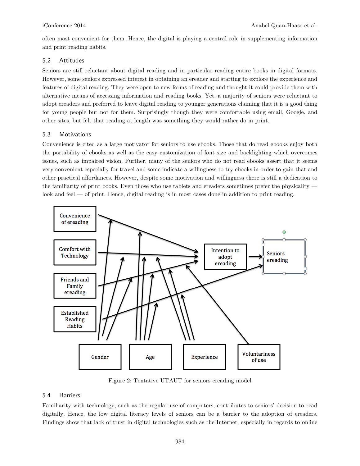often most convenient for them. Hence, the digital is playing a central role in supplementing information and print reading habits.

#### 5.2 Attitudes

Seniors are still reluctant about digital reading and in particular reading entire books in digital formats. However, some seniors expressed interest in obtaining an ereader and starting to explore the experience and features of digital reading. They were open to new forms of reading and thought it could provide them with alternative means of accessing information and reading books. Yet, a majority of seniors were reluctant to adopt ereaders and preferred to leave digital reading to younger generations claiming that it is a good thing for young people but not for them. Surprisingly though they were comfortable using email, Google, and other sites, but felt that reading at length was something they would rather do in print.

#### 5.3 Motivations

Convenience is cited as a large motivator for seniors to use ebooks. Those that do read ebooks enjoy both the portability of ebooks as well as the easy customization of font size and backlighting which overcomes issues, such as impaired vision. Further, many of the seniors who do not read ebooks assert that it seems very convenient especially for travel and some indicate a willingness to try ebooks in order to gain that and other practical affordances. However, despite some motivation and willingness there is still a dedication to the familiarity of print books. Even those who use tablets and ereaders sometimes prefer the physicality look and feel — of print. Hence, digital reading is in most cases done in addition to print reading.



Figure 2: Tentative UTAUT for seniors ereading model

#### <span id="page-5-0"></span>5.4 Barriers

Familiarity with technology, such as the regular use of computers, contributes to seniors' decision to read digitally. Hence, the low digital literacy levels of seniors can be a barrier to the adoption of ereaders. Findings show that lack of trust in digital technologies such as the Internet, especially in regards to online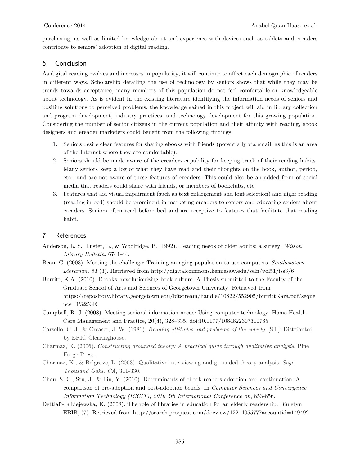purchasing, as well as limited knowledge about and experience with devices such as tablets and ereaders contribute to seniors' adoption of digital reading.

#### 6 Conclusion

As digital reading evolves and increases in popularity, it will continue to affect each demographic of readers in different ways. Scholarship detailing the use of technology by seniors shows that while they may be trends towards acceptance, many members of this population do not feel comfortable or knowledgeable about technology. As is evident in the existing literature identifying the information needs of seniors and positing solutions to perceived problems, the knowledge gained in this project will aid in library collection and program development, industry practices, and technology development for this growing population. Considering the number of senior citizens in the current population and their affinity with reading, ebook designers and ereader marketers could benefit from the following findings:

- 1. Seniors desire clear features for sharing ebooks with friends (potentially via email, as this is an area of the Internet where they are comfortable).
- 2. Seniors should be made aware of the ereaders capability for keeping track of their reading habits. Many seniors keep a log of what they have read and their thoughts on the book, author, period, etc., and are not aware of these features of ereaders. This could also be an added form of social media that readers could share with friends, or members of bookclubs, etc.
- 3. Features that aid visual impairment (such as text enlargement and font selection) and night reading (reading in bed) should be prominent in marketing ereaders to seniors and educating seniors about ereaders. Seniors often read before bed and are receptive to features that facilitate that reading habit.

#### 7 References

- Anderson, L. S., Luster, L., & Woolridge, P. (1992). Reading needs of older adults: a survey. *Wilson Library Bulletin*, 6741-44.
- Bean, C. (2003). Meeting the challenge: Training an aging population to use computers. *Southeastern Librarian, 51* (3). Retrieved from<http://digitalcommons.kennesaw.edu/seln/vol51/iss3/6>
- Burritt, K.A. (2010). Ebooks: revolutionizing book culture. A Thesis submitted to the Faculty of the Graduate School of Arts and Sciences of Georgetown University. Retrieved from [https://repository.library.georgetown.edu/bitstream/handle/10822/552905/burrittKara.pdf?seque](https://repository.library.georgetown.edu/bitstream/handle/10822/552905/burrittKara.pdf?sequence=1%253E) [nce=1%253E](https://repository.library.georgetown.edu/bitstream/handle/10822/552905/burrittKara.pdf?sequence=1%253E)
- Campbell, R. J. (2008). Meeting seniors' information needs: Using computer technology. Home Health Care Management and Practice, 20(4), 328–335. doi:10.1177/1084822307310765
- Carsello, C. J., & Creaser, J. W. (1981). *Reading attitudes and problems of the elderly*. [S.l.]: Distributed by ERIC Clearinghouse.
- Charmaz, K. (2006). *Constructing grounded theory: A practical guide through qualitative analysis*. Pine Forge Press.
- Charmaz, K., & Belgrave, L. (2003). Qualitative interviewing and grounded theory analysis. *Sage, Thousand Oaks, CA*, 311-330.
- Chou, S. C., Stu, J., & Lin, Y. (2010). Determinants of ebook readers adoption and continuation: A comparison of pre-adoption and post-adoption beliefs. In *Computer Sciences and Convergence Information Technology (ICCIT), 2010 5th International Conference on*, 853-856.
- Dettlaff-Lubiejewska, K. (2008). The role of libraries in education for an elderly readership. Biuletyn EBIB, (7). Retrieved from<http://search.proquest.com/docview/1221405577?accountid=149492>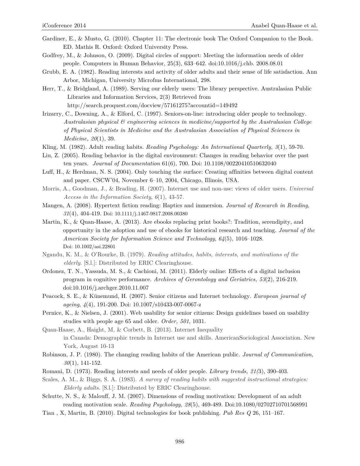- Gardiner, E., & Musto, G. (2010). Chapter 11: The electronic book The Oxford Companion to the Book. ED. Mathis R. Oxford: Oxford University Press.
- Godfrey, M., & Johnson, O. (2009). Digital circles of support: Meeting the information needs of older people. Computers in Human Behavior, 25(3), 633–642. doi:10.1016/j.chb. 2008.08.01
- Grubb, E. A. (1982). Reading interests and activity of older adults and their sense of life satisfaction. Ann Arbor, Michigan, University Microfms International, 298.
- Herr, T., & Bridgland, A. (1989). Serving our elderly users: The library perspective. Australasian Public Libraries and Information Services, 2(3) Retrieved from <http://search.proquest.com/docview/57161275?accountid=149492>
- Irizarry, C., Downing, A., & Elford, C. (1997). Seniors-on-line: introducing older people to technology. *Australasian physical & engineering sciences in medicine/supported by the Australasian College of Physical Scientists in Medicine and the Australasian Association of Physical Sciences in Medicine, 20*(1), 39.
- Kling, M. (1982). Adult reading habits. *Reading Psychology: An International Quarterly, 3*(1), 59-70.
- Liu, Z. (2005). Reading behavior in the digital environment: Changes in reading behavior over the past ten years. *Journal of Documentation* 61(6), 700. Doi: 10.1108/00220410510632040
- Luff, H., & Herdman, N. S. (2004). Only touching the surface: Creating affinities between digital content and paper. CSCW'04, November 6–10, 2004, Chicago, Illinois, USA.
- Morris, A., Goodman, J., & Brading, H. (2007). Internet use and non-use: views of older users. *Universal Access in the Information Society*, *6*(1), 43-57.
- Mangen, A. (2008). Hypertext fiction reading: Haptics and immersion. *Journal of Research in Reading*, *31*(4), 404-419. Doi: 10.1111/j.1467-9817.2008.00380
- Martin, K., & Quan-Haase, A. (2013). Are ebooks replacing print books?: Tradition, serendipity, and opportunity in the adoption and use of ebooks for historical research and teaching. *Journal of the American Society for Information Science and Technology*, *64*(5), 1016–1028. Doi: 10.1002/asi.22801
- Ngandu, K. M., & O'Rourke, B. (1979). *Reading attitudes, habits, interests, and motivations of the elderly*. [S.l.]: Distributed by ERIC Clearinghouse.
- Ordonez, T. N., Yassuda, M. S., & Cachioni, M. (2011). Elderly online: Effects of a digital inclusion program in cognitive performance. *Archives of Gerontology and Geriatrics, 53*(2), 216-219. doi:10.1016/j.archger.2010.11.007
- Peacock, S. E., & Künemund, H. (2007). Senior citizens and Internet technology. *European journal of ageing*, *4*(4), 191-200. Doi: 10.1007/s10433-007-0067-z
- Pernice, K., & Nielsen, J. (2001). Web usability for senior citizens: Design guidelines based on usability studies with people age 65 and older. *Order, 501*, 1031.
- Quan-Haase, A., Haight, M, & Corbett, B. (2013). Internet Inequality in Canada: Demographic trends in Internet use and skills. AmericanSociological Association. New York, August 10-13
- Robinson, J. P. (1980). The changing reading habits of the American public. *Journal of Communication, 30*(1), 141-152.
- Romani, D. (1973). Reading interests and needs of older people. *Library trends, 21(*3), 390-403.
- Scales, A. M., & Biggs, S. A. (1983). *A survey of reading habits with suggested instructional strategies: Elderly adults*. [S.l.]: Distributed by ERIC Clearinghouse.
- Schutte, N. S., & Malouff, J. M. (2007). Dimensions of reading motivation: Development of an adult reading motivation scale. *Reading Psychology, 28*(5), 469-489. Doi:10.1080/02702710701568991
- Tian , X, Martin, B. (2010). Digital technologies for book publishing. *Pub Res Q* 26, 151–167.